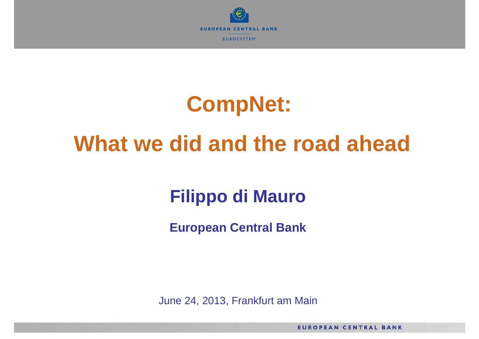

## **CompNet: What we did and the road ahead**

## **Filippo di Mauro**

**European Central Bank**

June 24, 2013, Frankfurt am Main

**EUROPEAN CENTRAL BANK**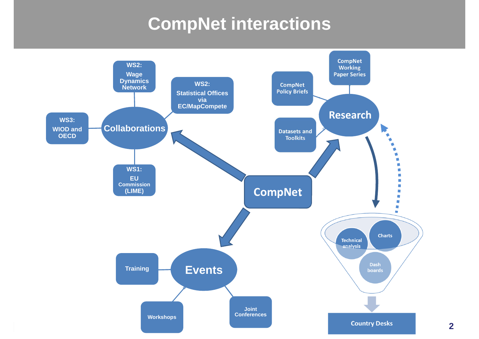## **CompNet interactions**

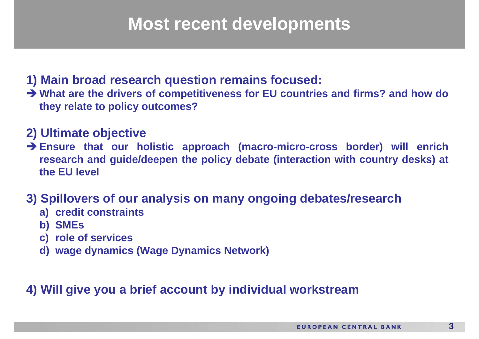#### **Most recent developments**

#### **1) Main broad research question remains focused:**

→ What are the drivers of competitiveness for EU countries and firms? and how do **they relate to policy outcomes?**

#### **2) Ultimate objective**

 **Ensure that our holistic approach (macro-micro-cross border) will enrich** research and guide/deepen the policy debate (interaction with country desks) at **the EU level**

#### **3) Spillovers of our analysis on many ongoing debates/research**

- **a) credit constraints**
- **b) SMEs**
- **c) role of services**
- **d) wage dynamics (Wage Dynamics Network)**

#### **4) Will give you <sup>a</sup> brief account by individual workstream**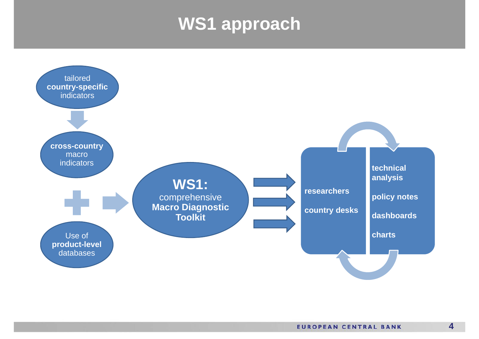## **WS1 approach**

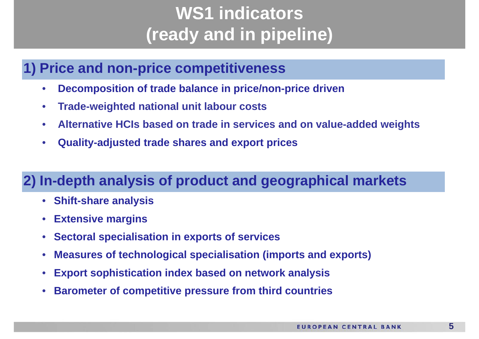## **WS1 indicators (ready and in pipeline)**

#### **1) Price and non-price competitiveness**

- •**Decomposition of trade balance in price/non-price driven**
- $\bullet$ **Trade-weighted national unit labour costs**
- •**Alternative HCIs based on trade in services and on value-added weights**
- •**Quality-adjusted trade shares and export prices**

#### **2) In-depth analysis of product and geographical markets**

- $\bullet$ **Shift-share analysis**
- $\bullet$ **Extensive margins**
- •**Sectoral specialisation in exports of services**
- •**Measures of technological specialisation (imports and exports)**
- $\bullet$ **Export sophistication index based on network analysis**
- $\bullet$ **Barometer of competitive pressure from third countries**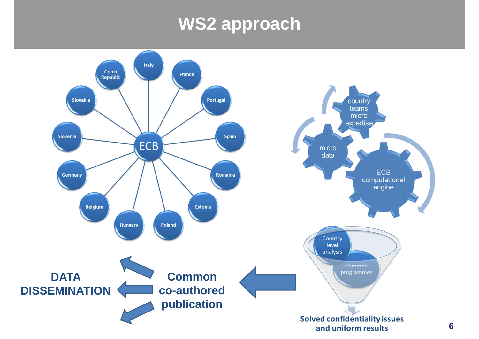## **WS2 approach**

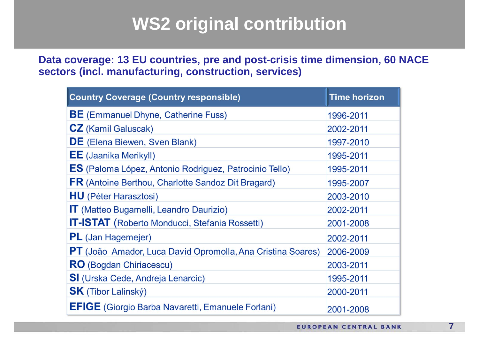#### **WS2 original contribution**

**Data coverage: 13 EU countries, pre and post-crisis time dimension, 60 NACE sectors (incl. manufacturing, construction, services)**

| <b>Country Coverage (Country responsible)</b>                 | <b>Time horizon</b> |
|---------------------------------------------------------------|---------------------|
| <b>BE</b> (Emmanuel Dhyne, Catherine Fuss)                    | 1996-2011           |
| <b>CZ</b> (Kamil Galuscak)                                    | 2002-2011           |
| <b>DE</b> (Elena Biewen, Sven Blank)                          | 1997-2010           |
| <b>EE</b> (Jaanika Merikyll)                                  | 1995-2011           |
| <b>ES</b> (Paloma López, Antonio Rodriguez, Patrocinio Tello) | 1995-2011           |
| <b>FR</b> (Antoine Berthou, Charlotte Sandoz Dit Bragard)     | 1995-2007           |
| <b>HU</b> (Péter Harasztosi)                                  | 2003-2010           |
| <b>IT</b> (Matteo Bugamelli, Leandro Daurizio)                | 2002-2011           |
| <b>IT-ISTAT</b> (Roberto Monducci, Stefania Rossetti)         | 2001-2008           |
| PL (Jan Hagemejer)                                            | 2002-2011           |
| PT (João Amador, Luca David Opromolla, Ana Cristina Soares)   | 2006-2009           |
| <b>RO</b> (Bogdan Chiriacescu)                                | 2003-2011           |
| SI (Urska Cede, Andreja Lenarcic)                             | 1995-2011           |
| <b>SK</b> (Tibor Lalinský)                                    | 2000-2011           |
| <b>EFIGE</b> (Giorgio Barba Navaretti, Emanuele Forlani)      | 2001-2008           |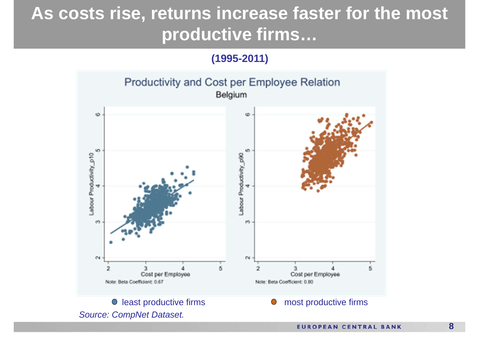## **As costs rise, returns increase faster for the most productive firms…**

**(1995-2011)**



**8**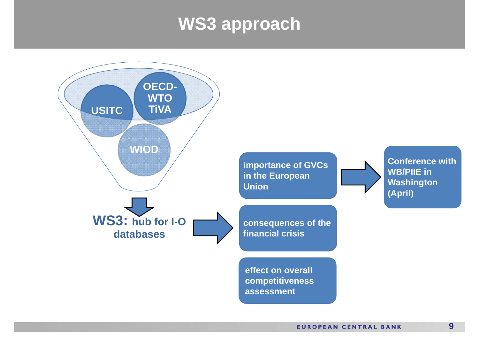#### **WS3 approach**

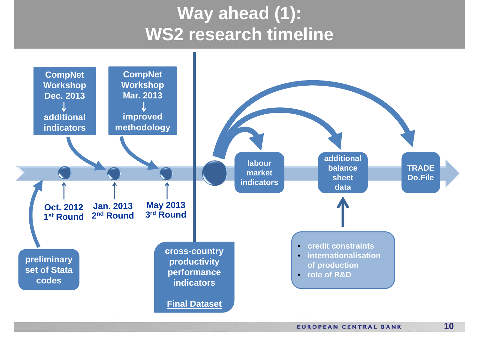## **Way ahead (1): WS2 research timeline**

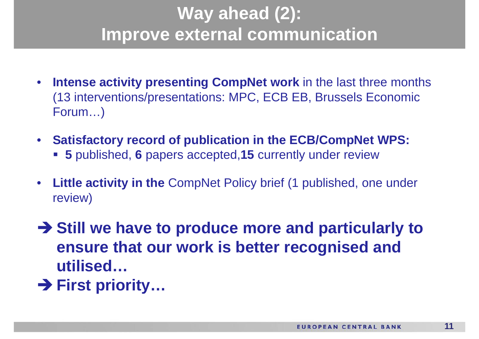## **Way ahead (2): Improve external communication**

- $\bullet$  **Intense activity presenting CompNet work** in the last three months (13 interventions/presentations: MPC, ECB EB, Brussels Economic Forum…)
- $\bullet$  **Satisfactory record of publication in the ECB/CompNet WPS:**
	- **5** published, **6** papers accepted,**15** currently under review
- $\bullet$  **Little activity in the** CompNet Policy brief (1 published, one under review)

**→ Still we have to produce more and particularly to ensure that our work is better recognised and utilised…**

**→ First priority…**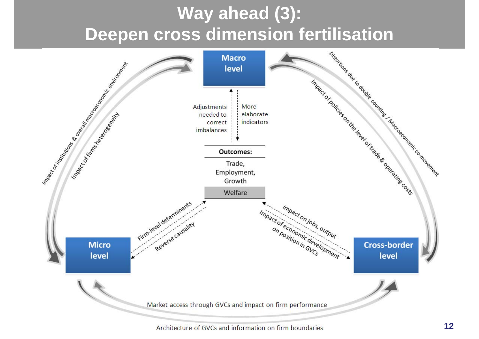# **Way ahead (3):**

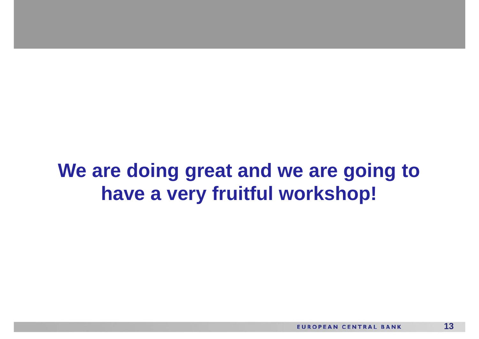## **We are doing great and we are going to have a very fruitful workshop!**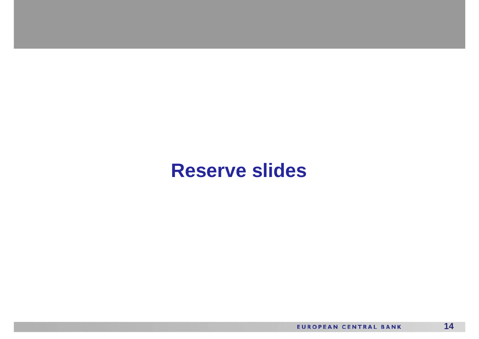#### **Reserve slides**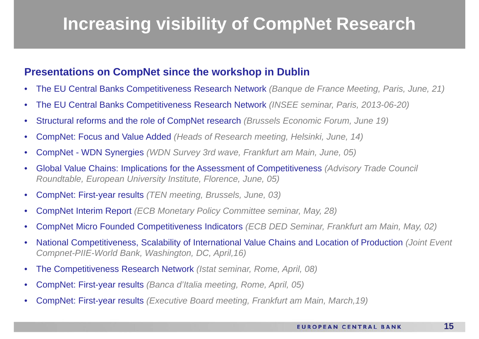#### **Increasing visibility of CompNet Research**

#### **Presentations on CompNet since the workshop in Dublin**

- $\bullet$ The EU Central Banks Competitiveness Research Network *(Banque de France Meeting, Paris, June, 21)*
- $\bullet$ The EU Central Banks Competitiveness Research Network *(INSEE seminar, Paris, 2013-06-20)*
- $\bullet$ Structural reforms and the role of CompNet research *(Brussels Economic Forum, June 19)*
- •CompNet: Focus and Value Added *(Heads of Research meeting, Helsinki, June, 14)*
- $\bullet$ CompNet - WDN Synergies *(WDN Survey 3rd wave, Frankfurt am Main, June, 05)*
- $\bullet$  Global Value Chains: Implications for the Assessment of Competitiveness *(Advisory Trade Council Roundtable, European University Institute, Florence, June, 05)*
- $\bullet$ CompNet: First-year results *(TEN meeting, Brussels, June, 03)*
- $\bullet$ CompNet Interim Report *(ECB Monetary Policy Committee seminar, May, 28)*
- •CompNet Micro Founded Competitiveness Indicators *(ECB DED Seminar, Frankfurt am Main, May, 02)*
- • National Competitiveness, Scalability of International Value Chains and Location of Production *(Joint Event Compnet-PIIE-World Bank, Washington, DC, April,16)*
- •The Competitiveness Research Network *(Istat seminar, Rome, April, 08)*
- $\bullet$ CompNet: First-year results *(Banca d'Italia meeting, Rome, April, 05)*
- •CompNet: First-year results *(Executive Board meeting, Frankfurt am Main, March,19)*

**15**